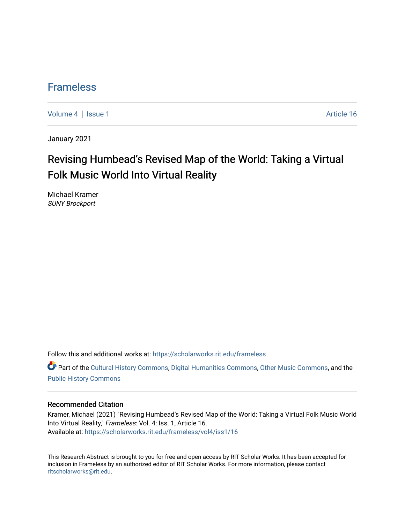### [Frameless](https://scholarworks.rit.edu/frameless)

[Volume 4](https://scholarworks.rit.edu/frameless/vol4) | [Issue 1](https://scholarworks.rit.edu/frameless/vol4/iss1) Article 16

January 2021

## Revising Humbead's Revised Map of the World: Taking a Virtual Folk Music World Into Virtual Reality

Michael Kramer SUNY Brockport

Follow this and additional works at: [https://scholarworks.rit.edu/frameless](https://scholarworks.rit.edu/frameless?utm_source=scholarworks.rit.edu%2Fframeless%2Fvol4%2Fiss1%2F16&utm_medium=PDF&utm_campaign=PDFCoverPages)

**C** Part of the [Cultural History Commons](https://network.bepress.com/hgg/discipline/496?utm_source=scholarworks.rit.edu%2Fframeless%2Fvol4%2Fiss1%2F16&utm_medium=PDF&utm_campaign=PDFCoverPages), [Digital Humanities Commons,](https://network.bepress.com/hgg/discipline/1286?utm_source=scholarworks.rit.edu%2Fframeless%2Fvol4%2Fiss1%2F16&utm_medium=PDF&utm_campaign=PDFCoverPages) [Other Music Commons,](https://network.bepress.com/hgg/discipline/524?utm_source=scholarworks.rit.edu%2Fframeless%2Fvol4%2Fiss1%2F16&utm_medium=PDF&utm_campaign=PDFCoverPages) and the [Public History Commons](https://network.bepress.com/hgg/discipline/1292?utm_source=scholarworks.rit.edu%2Fframeless%2Fvol4%2Fiss1%2F16&utm_medium=PDF&utm_campaign=PDFCoverPages)

### Recommended Citation

Kramer, Michael (2021) "Revising Humbead's Revised Map of the World: Taking a Virtual Folk Music World Into Virtual Reality," Frameless: Vol. 4: Iss. 1, Article 16. Available at: [https://scholarworks.rit.edu/frameless/vol4/iss1/16](https://scholarworks.rit.edu/frameless/vol4/iss1/16?utm_source=scholarworks.rit.edu%2Fframeless%2Fvol4%2Fiss1%2F16&utm_medium=PDF&utm_campaign=PDFCoverPages) 

This Research Abstract is brought to you for free and open access by RIT Scholar Works. It has been accepted for inclusion in Frameless by an authorized editor of RIT Scholar Works. For more information, please contact [ritscholarworks@rit.edu](mailto:ritscholarworks@rit.edu).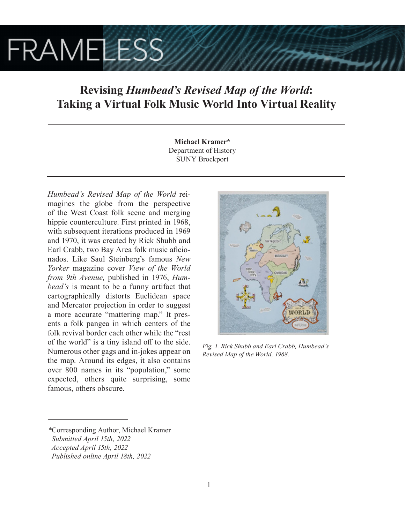# **FRAMELESS**

## **Revising** *Humbead's Revised Map of the World***: Taking a Virtual Folk Music World Into Virtual Reality**

**Michael Kramer\*** Department of History SUNY Brockport

*Humbead's Revised Map of the World* reimagines the globe from the perspective of the West Coast folk scene and merging hippie counterculture. First printed in 1968, with subsequent iterations produced in 1969 and 1970, it was created by Rick Shubb and Earl Crabb, two Bay Area folk music aficionados. Like Saul Steinberg's famous *New Yorker* magazine cover *View of the World from 9th Avenue,* published in 1976, *Humbead's* is meant to be a funny artifact that cartographically distorts Euclidean space and Mercator projection in order to suggest a more accurate "mattering map." It presents a folk pangea in which centers of the folk revival border each other while the "rest of the world" is a tiny island off to the side. Numerous other gags and in-jokes appear on the map. Around its edges, it also contains over 800 names in its "population," some expected, others quite surprising, some famous, others obscure.



*Fig. 1. Rick Shubb and Earl Crabb, Humbead's Revised Map of the World, 1968.*

*<sup>\*</sup>*Corresponding Author, Michael Kramer  *Submitted April 15th, 2022 Accepted April 15th, 2022*

*Published online April 18th, 2022*